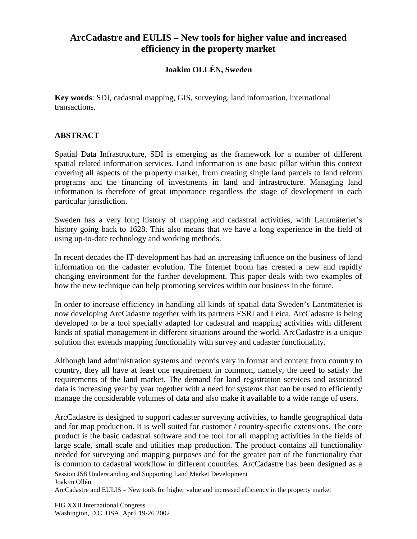## **ArcCadastre and EULIS – New tools for higher value and increased efficiency in the property market**

## **Joakim OLLÉN, Sweden**

**Key words**: SDI, cadastral mapping, GIS, surveying, land information, international transactions.

## **ABSTRACT**

Spatial Data Infrastructure, SDI is emerging as the framework for a number of different spatial related information services. Land information is one basic pillar within this context covering all aspects of the property market, from creating single land parcels to land reform programs and the financing of investments in land and infrastructure. Managing land information is therefore of great importance regardless the stage of development in each particular jurisdiction.

Sweden has a very long history of mapping and cadastral activities, with Lantmäteriet's history going back to 1628. This also means that we have a long experience in the field of using up-to-date technology and working methods.

In recent decades the IT-development has had an increasing influence on the business of land information on the cadaster evolution. The Internet boom has created a new and rapidly changing environment for the further development. This paper deals with two examples of how the new technique can help promoting services within our business in the future.

In order to increase efficiency in handling all kinds of spatial data Sweden's Lantmäteriet is now developing ArcCadastre together with its partners ESRI and Leica. ArcCadastre is being developed to be a tool specially adapted for cadastral and mapping activities with different kinds of spatial management in different situations around the world. ArcCadastre is a unique solution that extends mapping functionality with survey and cadaster functionality.

Although land administration systems and records vary in format and content from country to country, they all have at least one requirement in common, namely, the need to satisfy the requirements of the land market. The demand for land registration services and associated data is increasing year by year together with a need for systems that can be used to efficiently manage the considerable volumes of data and also make it available to a wide range of users.

ArcCadastre is designed to support cadaster surveying activities, to handle geographical data and for map production. It is well suited for customer / country-specific extensions. The core product is the basic cadastral software and the tool for all mapping activities in the fields of large scale, small scale and utilities map production. The product contains all functionality needed for surveying and mapping purposes and for the greater part of the functionality that is common to cadastral workflow in different countries. ArcCadastre has been designed as a

Session JS8 Understanding and Supporting Land Market Development Joakim Ollén

ArcCadastre and EULIS – New tools for higher value and increased efficiency in the property market